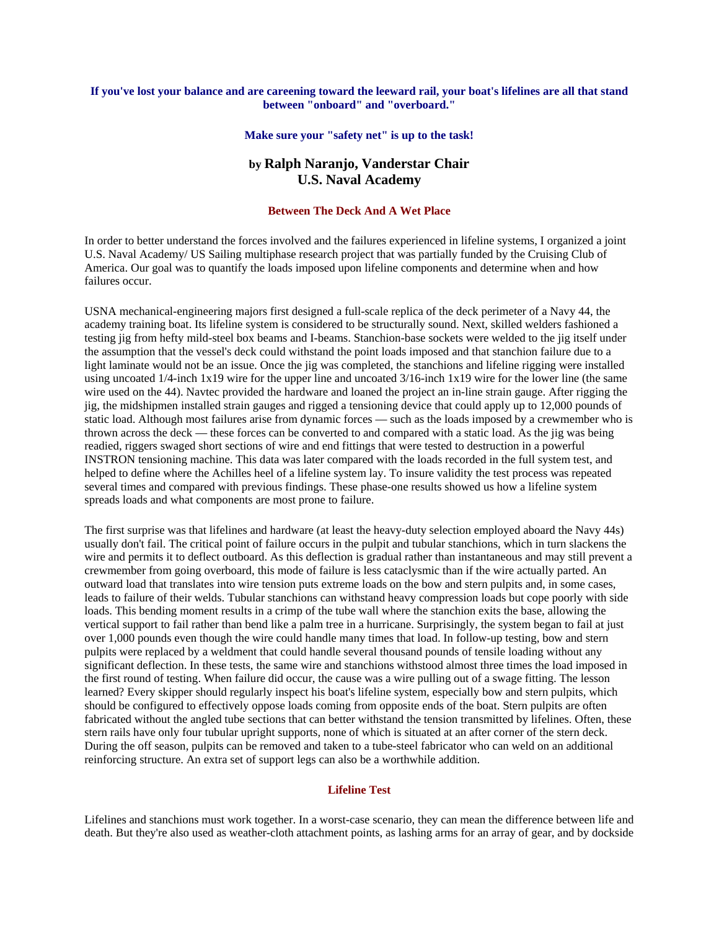## **If you've lost your balance and are careening toward the leeward rail, your boat's lifelines are all that stand between "onboard" and "overboard."**

#### **Make sure your "safety net" is up to the task!**

# **by Ralph Naranjo, Vanderstar Chair U.S. Naval Academy**

#### **Between The Deck And A Wet Place**

In order to better understand the forces involved and the failures experienced in lifeline systems, I organized a joint U.S. Naval Academy/ US Sailing multiphase research project that was partially funded by the Cruising Club of America. Our goal was to quantify the loads imposed upon lifeline components and determine when and how failures occur.

USNA mechanical-engineering majors first designed a full-scale replica of the deck perimeter of a Navy 44, the academy training boat. Its lifeline system is considered to be structurally sound. Next, skilled welders fashioned a testing jig from hefty mild-steel box beams and I-beams. Stanchion-base sockets were welded to the jig itself under the assumption that the vessel's deck could withstand the point loads imposed and that stanchion failure due to a light laminate would not be an issue. Once the jig was completed, the stanchions and lifeline rigging were installed using uncoated 1/4-inch 1x19 wire for the upper line and uncoated 3/16-inch 1x19 wire for the lower line (the same wire used on the 44). Navtec provided the hardware and loaned the project an in-line strain gauge. After rigging the jig, the midshipmen installed strain gauges and rigged a tensioning device that could apply up to 12,000 pounds of static load. Although most failures arise from dynamic forces — such as the loads imposed by a crewmember who is thrown across the deck — these forces can be converted to and compared with a static load. As the jig was being readied, riggers swaged short sections of wire and end fittings that were tested to destruction in a powerful INSTRON tensioning machine. This data was later compared with the loads recorded in the full system test, and helped to define where the Achilles heel of a lifeline system lay. To insure validity the test process was repeated several times and compared with previous findings. These phase-one results showed us how a lifeline system spreads loads and what components are most prone to failure.

The first surprise was that lifelines and hardware (at least the heavy-duty selection employed aboard the Navy 44s) usually don't fail. The critical point of failure occurs in the pulpit and tubular stanchions, which in turn slackens the wire and permits it to deflect outboard. As this deflection is gradual rather than instantaneous and may still prevent a crewmember from going overboard, this mode of failure is less cataclysmic than if the wire actually parted. An outward load that translates into wire tension puts extreme loads on the bow and stern pulpits and, in some cases, leads to failure of their welds. Tubular stanchions can withstand heavy compression loads but cope poorly with side loads. This bending moment results in a crimp of the tube wall where the stanchion exits the base, allowing the vertical support to fail rather than bend like a palm tree in a hurricane. Surprisingly, the system began to fail at just over 1,000 pounds even though the wire could handle many times that load. In follow-up testing, bow and stern pulpits were replaced by a weldment that could handle several thousand pounds of tensile loading without any significant deflection. In these tests, the same wire and stanchions withstood almost three times the load imposed in the first round of testing. When failure did occur, the cause was a wire pulling out of a swage fitting. The lesson learned? Every skipper should regularly inspect his boat's lifeline system, especially bow and stern pulpits, which should be configured to effectively oppose loads coming from opposite ends of the boat. Stern pulpits are often fabricated without the angled tube sections that can better withstand the tension transmitted by lifelines. Often, these stern rails have only four tubular upright supports, none of which is situated at an after corner of the stern deck. During the off season, pulpits can be removed and taken to a tube-steel fabricator who can weld on an additional reinforcing structure. An extra set of support legs can also be a worthwhile addition.

## **Lifeline Test**

Lifelines and stanchions must work together. In a worst-case scenario, they can mean the difference between life and death. But they're also used as weather-cloth attachment points, as lashing arms for an array of gear, and by dockside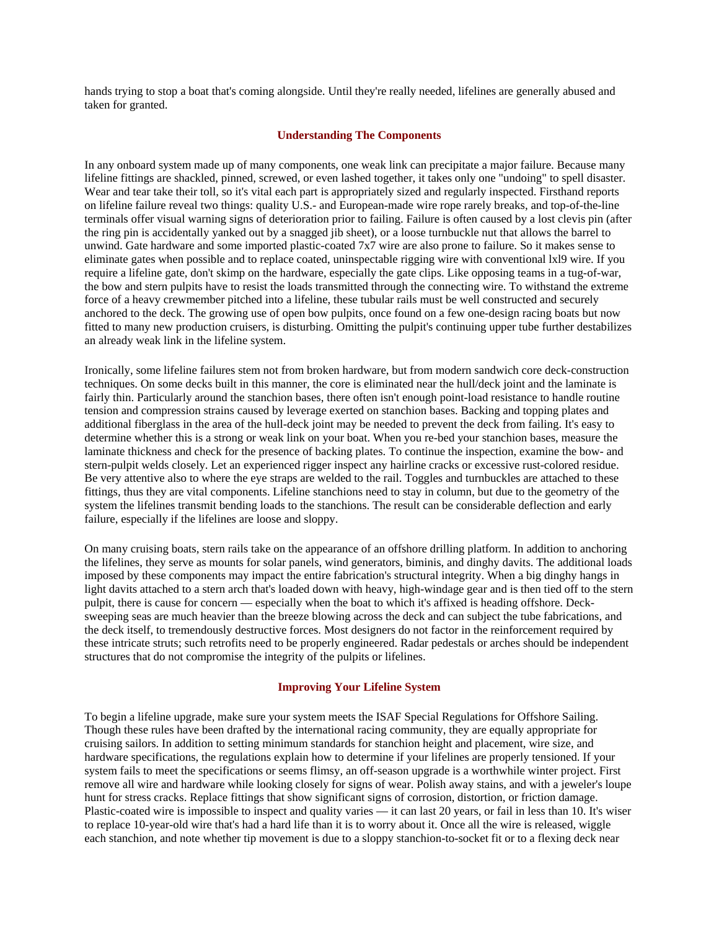hands trying to stop a boat that's coming alongside. Until they're really needed, lifelines are generally abused and taken for granted.

#### **Understanding The Components**

In any onboard system made up of many components, one weak link can precipitate a major failure. Because many lifeline fittings are shackled, pinned, screwed, or even lashed together, it takes only one "undoing" to spell disaster. Wear and tear take their toll, so it's vital each part is appropriately sized and regularly inspected. Firsthand reports on lifeline failure reveal two things: quality U.S.- and European-made wire rope rarely breaks, and top-of-the-line terminals offer visual warning signs of deterioration prior to failing. Failure is often caused by a lost clevis pin (after the ring pin is accidentally yanked out by a snagged jib sheet), or a loose turnbuckle nut that allows the barrel to unwind. Gate hardware and some imported plastic-coated 7x7 wire are also prone to failure. So it makes sense to eliminate gates when possible and to replace coated, uninspectable rigging wire with conventional lxl9 wire. If you require a lifeline gate, don't skimp on the hardware, especially the gate clips. Like opposing teams in a tug-of-war, the bow and stern pulpits have to resist the loads transmitted through the connecting wire. To withstand the extreme force of a heavy crewmember pitched into a lifeline, these tubular rails must be well constructed and securely anchored to the deck. The growing use of open bow pulpits, once found on a few one-design racing boats but now fitted to many new production cruisers, is disturbing. Omitting the pulpit's continuing upper tube further destabilizes an already weak link in the lifeline system.

Ironically, some lifeline failures stem not from broken hardware, but from modern sandwich core deck-construction techniques. On some decks built in this manner, the core is eliminated near the hull/deck joint and the laminate is fairly thin. Particularly around the stanchion bases, there often isn't enough point-load resistance to handle routine tension and compression strains caused by leverage exerted on stanchion bases. Backing and topping plates and additional fiberglass in the area of the hull-deck joint may be needed to prevent the deck from failing. It's easy to determine whether this is a strong or weak link on your boat. When you re-bed your stanchion bases, measure the laminate thickness and check for the presence of backing plates. To continue the inspection, examine the bow- and stern-pulpit welds closely. Let an experienced rigger inspect any hairline cracks or excessive rust-colored residue. Be very attentive also to where the eye straps are welded to the rail. Toggles and turnbuckles are attached to these fittings, thus they are vital components. Lifeline stanchions need to stay in column, but due to the geometry of the system the lifelines transmit bending loads to the stanchions. The result can be considerable deflection and early failure, especially if the lifelines are loose and sloppy.

On many cruising boats, stern rails take on the appearance of an offshore drilling platform. In addition to anchoring the lifelines, they serve as mounts for solar panels, wind generators, biminis, and dinghy davits. The additional loads imposed by these components may impact the entire fabrication's structural integrity. When a big dinghy hangs in light davits attached to a stern arch that's loaded down with heavy, high-windage gear and is then tied off to the stern pulpit, there is cause for concern — especially when the boat to which it's affixed is heading offshore. Decksweeping seas are much heavier than the breeze blowing across the deck and can subject the tube fabrications, and the deck itself, to tremendously destructive forces. Most designers do not factor in the reinforcement required by these intricate struts; such retrofits need to be properly engineered. Radar pedestals or arches should be independent structures that do not compromise the integrity of the pulpits or lifelines.

## **Improving Your Lifeline System**

To begin a lifeline upgrade, make sure your system meets the ISAF Special Regulations for Offshore Sailing. Though these rules have been drafted by the international racing community, they are equally appropriate for cruising sailors. In addition to setting minimum standards for stanchion height and placement, wire size, and hardware specifications, the regulations explain how to determine if your lifelines are properly tensioned. If your system fails to meet the specifications or seems flimsy, an off-season upgrade is a worthwhile winter project. First remove all wire and hardware while looking closely for signs of wear. Polish away stains, and with a jeweler's loupe hunt for stress cracks. Replace fittings that show significant signs of corrosion, distortion, or friction damage. Plastic-coated wire is impossible to inspect and quality varies — it can last 20 years, or fail in less than 10. It's wiser to replace 10-year-old wire that's had a hard life than it is to worry about it. Once all the wire is released, wiggle each stanchion, and note whether tip movement is due to a sloppy stanchion-to-socket fit or to a flexing deck near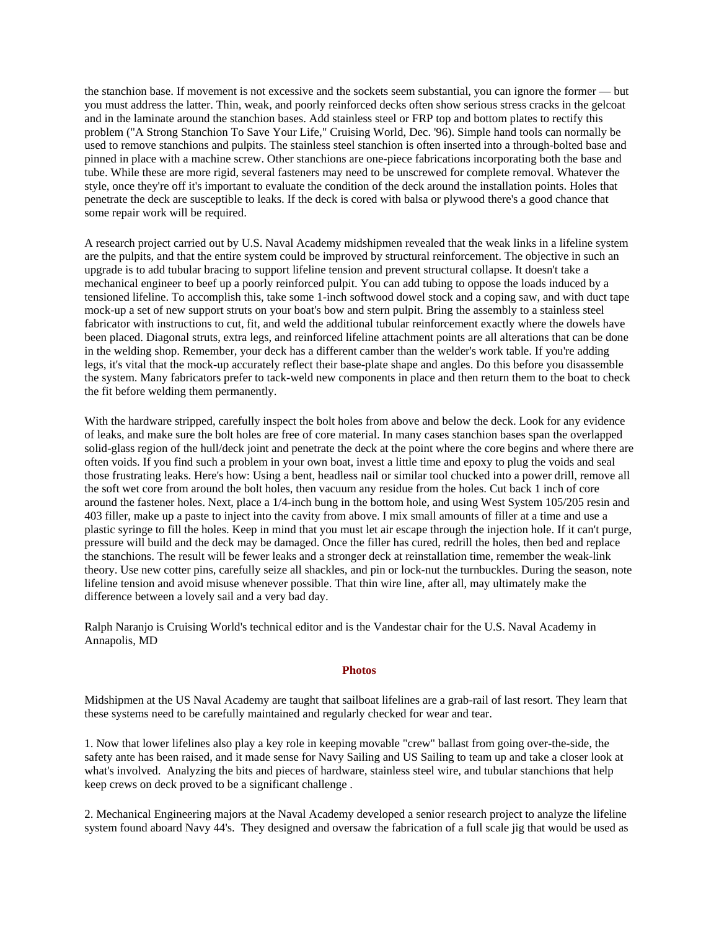the stanchion base. If movement is not excessive and the sockets seem substantial, you can ignore the former — but you must address the latter. Thin, weak, and poorly reinforced decks often show serious stress cracks in the gelcoat and in the laminate around the stanchion bases. Add stainless steel or FRP top and bottom plates to rectify this problem ("A Strong Stanchion To Save Your Life," Cruising World, Dec. '96). Simple hand tools can normally be used to remove stanchions and pulpits. The stainless steel stanchion is often inserted into a through-bolted base and pinned in place with a machine screw. Other stanchions are one-piece fabrications incorporating both the base and tube. While these are more rigid, several fasteners may need to be unscrewed for complete removal. Whatever the style, once they're off it's important to evaluate the condition of the deck around the installation points. Holes that penetrate the deck are susceptible to leaks. If the deck is cored with balsa or plywood there's a good chance that some repair work will be required.

A research project carried out by U.S. Naval Academy midshipmen revealed that the weak links in a lifeline system are the pulpits, and that the entire system could be improved by structural reinforcement. The objective in such an upgrade is to add tubular bracing to support lifeline tension and prevent structural collapse. It doesn't take a mechanical engineer to beef up a poorly reinforced pulpit. You can add tubing to oppose the loads induced by a tensioned lifeline. To accomplish this, take some 1-inch softwood dowel stock and a coping saw, and with duct tape mock-up a set of new support struts on your boat's bow and stern pulpit. Bring the assembly to a stainless steel fabricator with instructions to cut, fit, and weld the additional tubular reinforcement exactly where the dowels have been placed. Diagonal struts, extra legs, and reinforced lifeline attachment points are all alterations that can be done in the welding shop. Remember, your deck has a different camber than the welder's work table. If you're adding legs, it's vital that the mock-up accurately reflect their base-plate shape and angles. Do this before you disassemble the system. Many fabricators prefer to tack-weld new components in place and then return them to the boat to check the fit before welding them permanently.

With the hardware stripped, carefully inspect the bolt holes from above and below the deck. Look for any evidence of leaks, and make sure the bolt holes are free of core material. In many cases stanchion bases span the overlapped solid-glass region of the hull/deck joint and penetrate the deck at the point where the core begins and where there are often voids. If you find such a problem in your own boat, invest a little time and epoxy to plug the voids and seal those frustrating leaks. Here's how: Using a bent, headless nail or similar tool chucked into a power drill, remove all the soft wet core from around the bolt holes, then vacuum any residue from the holes. Cut back 1 inch of core around the fastener holes. Next, place a 1/4-inch bung in the bottom hole, and using West System 105/205 resin and 403 filler, make up a paste to inject into the cavity from above. I mix small amounts of filler at a time and use a plastic syringe to fill the holes. Keep in mind that you must let air escape through the injection hole. If it can't purge, pressure will build and the deck may be damaged. Once the filler has cured, redrill the holes, then bed and replace the stanchions. The result will be fewer leaks and a stronger deck at reinstallation time, remember the weak-link theory. Use new cotter pins, carefully seize all shackles, and pin or lock-nut the turnbuckles. During the season, note lifeline tension and avoid misuse whenever possible. That thin wire line, after all, may ultimately make the difference between a lovely sail and a very bad day.

Ralph Naranjo is Cruising World's technical editor and is the Vandestar chair for the U.S. Naval Academy in Annapolis, MD

#### **Photos**

Midshipmen at the US Naval Academy are taught that sailboat lifelines are a grab-rail of last resort. They learn that these systems need to be carefully maintained and regularly checked for wear and tear.

1. Now that lower lifelines also play a key role in keeping movable "crew" ballast from going over-the-side, the safety ante has been raised, and it made sense for Navy Sailing and US Sailing to team up and take a closer look at what's involved. Analyzing the bits and pieces of hardware, stainless steel wire, and tubular stanchions that help keep crews on deck proved to be a significant challenge .

2. Mechanical Engineering majors at the Naval Academy developed a senior research project to analyze the lifeline system found aboard Navy 44's. They designed and oversaw the fabrication of a full scale jig that would be used as